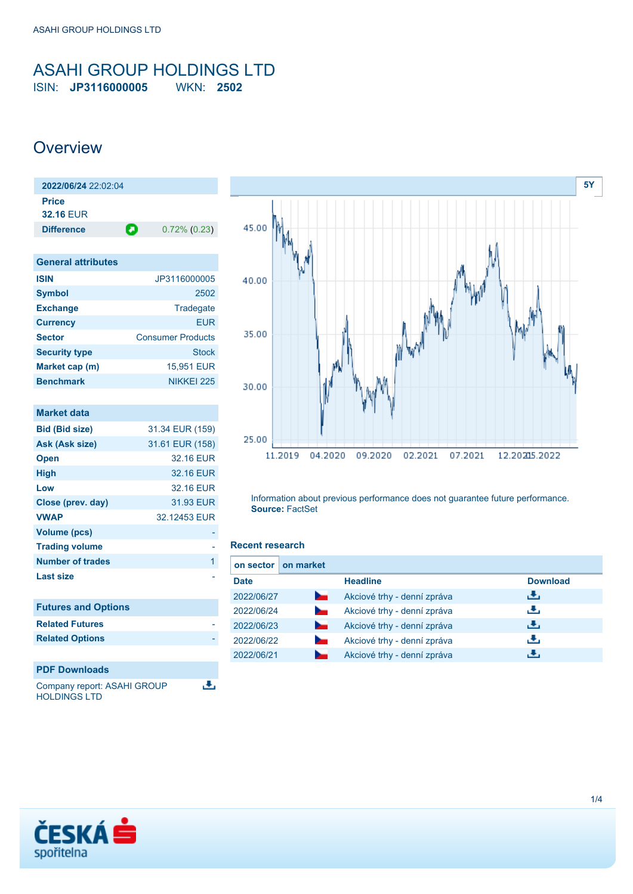### <span id="page-0-0"></span>ASAHI GROUP HOLDINGS LTD ISIN: **JP3116000005** WKN: **2502**

### **Overview**

| $2022/06/24$ 22:02:04 |   |                 |
|-----------------------|---|-----------------|
| <b>Price</b>          |   |                 |
| <b>32.16 EUR</b>      |   |                 |
| <b>Difference</b>     | О | $0.72\%$ (0.23) |
|                       |   |                 |

| <b>General attributes</b> |                          |
|---------------------------|--------------------------|
| <b>ISIN</b>               | JP3116000005             |
| <b>Symbol</b>             | 2502                     |
| <b>Exchange</b>           | Tradegate                |
| <b>Currency</b>           | <b>EUR</b>               |
| <b>Sector</b>             | <b>Consumer Products</b> |
| <b>Security type</b>      | <b>Stock</b>             |
| Market cap (m)            | 15,951 EUR               |
| <b>Benchmark</b>          | NIKKEI 225               |

| <b>Market data</b>          |                 |
|-----------------------------|-----------------|
| <b>Bid (Bid size)</b>       | 31.34 EUR (159) |
| Ask (Ask size)              | 31.61 EUR (158) |
| <b>Open</b>                 | 32.16 EUR       |
| <b>High</b>                 | 32.16 EUR       |
| Low                         | 32.16 EUR       |
| Close (prev. day)           | 31.93 EUR       |
| <b>VWAP</b>                 | 32.12453 EUR    |
| <b>Volume (pcs)</b>         |                 |
| <b>Trading volume</b>       |                 |
| <b>Number of trades</b>     | 1               |
| <b>Last size</b>            |                 |
|                             |                 |
| <b>Futures and Options</b>  |                 |
| <b>Related Futures</b>      |                 |
| <b>Related Options</b>      |                 |
|                             |                 |
| <b>PDF Downloads</b>        |                 |
| Company report: ASAHI GROUP |                 |





Information about previous performance does not guarantee future performance. **Source:** FactSet

### **Recent research**

| on sector   | on market      |                             |                 |
|-------------|----------------|-----------------------------|-----------------|
| <b>Date</b> |                | <b>Headline</b>             | <b>Download</b> |
| 2022/06/27  | <b>Service</b> | Akciové trhy - denní zpráva | رنان            |
| 2022/06/24  |                | Akciové trhy - denní zpráva | رنان            |
| 2022/06/23  | <b>Service</b> | Akciové trhy - denní zpráva | æ,              |
| 2022/06/22  |                | Akciové trhy - denní zpráva | æ,              |
| 2022/06/21  |                | Akciové trhy - denní zpráva |                 |

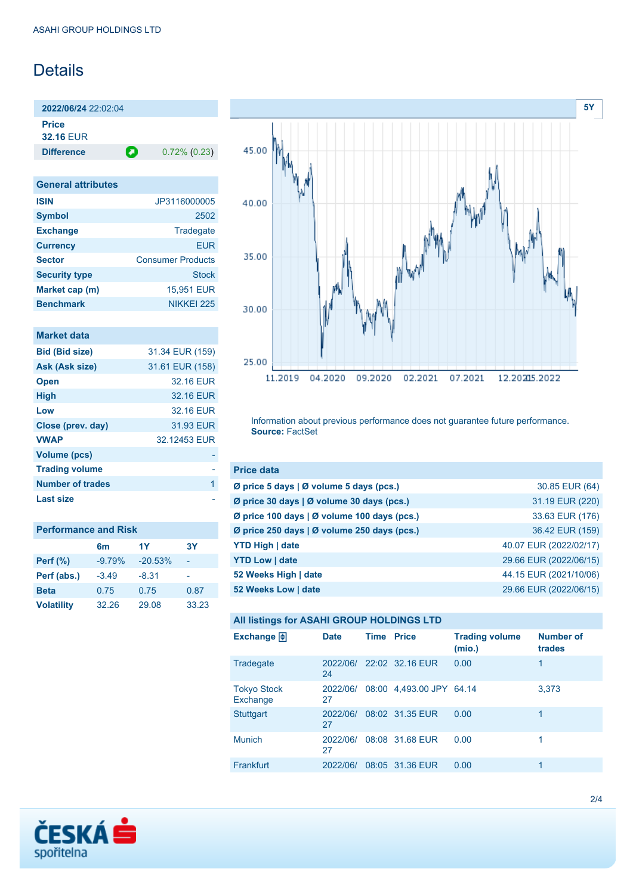# **Details**

**2022/06/24** 22:02:04 **Price 32.16** EUR

**Difference 0.72% (0.23)** 

| <b>General attributes</b> |                          |
|---------------------------|--------------------------|
| <b>ISIN</b>               | JP3116000005             |
| <b>Symbol</b>             | 2502                     |
| <b>Exchange</b>           | Tradegate                |
| <b>Currency</b>           | FUR                      |
| <b>Sector</b>             | <b>Consumer Products</b> |
| <b>Security type</b>      | <b>Stock</b>             |
| Market cap (m)            | 15,951 EUR               |
| <b>Benchmark</b>          | NIKKFI 225               |

### **Market data**

| <b>Bid (Bid size)</b> | 31.34 EUR (159) |
|-----------------------|-----------------|
| Ask (Ask size)        | 31.61 EUR (158) |
| <b>Open</b>           | 32.16 FUR       |
| <b>High</b>           | 32.16 EUR       |
| Low                   | 32.16 EUR       |
| Close (prev. day)     | 31.93 EUR       |
| <b>VWAP</b>           | 32.12453 FUR    |
| <b>Volume (pcs)</b>   |                 |
| <b>Trading volume</b> |                 |
| Number of trades      | 1               |
| Last size             |                 |

| <b>Performance and Risk</b> |                |           |       |
|-----------------------------|----------------|-----------|-------|
|                             | 6 <sub>m</sub> | 1Y        | 3Υ    |
| <b>Perf</b> (%)             | $-9.79%$       | $-20.53%$ |       |
| Perf (abs.)                 | $-3.49$        | $-8.31$   |       |
| <b>Beta</b>                 | 0.75           | 0.75      | 0.87  |
| <b>Volatility</b>           | 32.26          | 29.08     | 33.23 |



Information about previous performance does not guarantee future performance. **Source:** FactSet

| <b>Price data</b>                                     |                        |
|-------------------------------------------------------|------------------------|
| Ø price 5 days $\vert \emptyset$ volume 5 days (pcs.) | 30.85 EUR (64)         |
| Ø price 30 days   Ø volume 30 days (pcs.)             | 31.19 EUR (220)        |
| Ø price 100 days   Ø volume 100 days (pcs.)           | 33.63 EUR (176)        |
| Ø price 250 days   Ø volume 250 days (pcs.)           | 36.42 EUR (159)        |
| <b>YTD High   date</b>                                | 40.07 EUR (2022/02/17) |
| <b>YTD Low   date</b>                                 | 29.66 EUR (2022/06/15) |
| 52 Weeks High   date                                  | 44.15 EUR (2021/10/06) |
| 52 Weeks Low   date                                   | 29.66 EUR (2022/06/15) |

|  |  |  | All listings for ASAHI GROUP HOLDINGS LTD |  |
|--|--|--|-------------------------------------------|--|
|--|--|--|-------------------------------------------|--|

| Exchange $\Box$                | <b>Date</b>    | <b>Time Price</b> |                          | <b>Trading volume</b><br>(mio.) | <b>Number of</b><br>trades |
|--------------------------------|----------------|-------------------|--------------------------|---------------------------------|----------------------------|
| Tradegate                      | 2022/06/<br>24 |                   | 22:02 32.16 EUR          | 0.00                            | 1                          |
| <b>Tokyo Stock</b><br>Exchange | 2022/06/<br>27 |                   | 08:00 4,493.00 JPY 64.14 |                                 | 3,373                      |
| <b>Stuttgart</b>               | 2022/06/<br>27 |                   | 08:02 31.35 EUR          | 0.00                            | 1                          |
| <b>Munich</b>                  | 2022/06/<br>27 |                   | 08:08 31.68 EUR          | 0.00                            |                            |
| Frankfurt                      | 2022/06/       |                   | 08:05 31.36 EUR          | 0.00                            | 1                          |

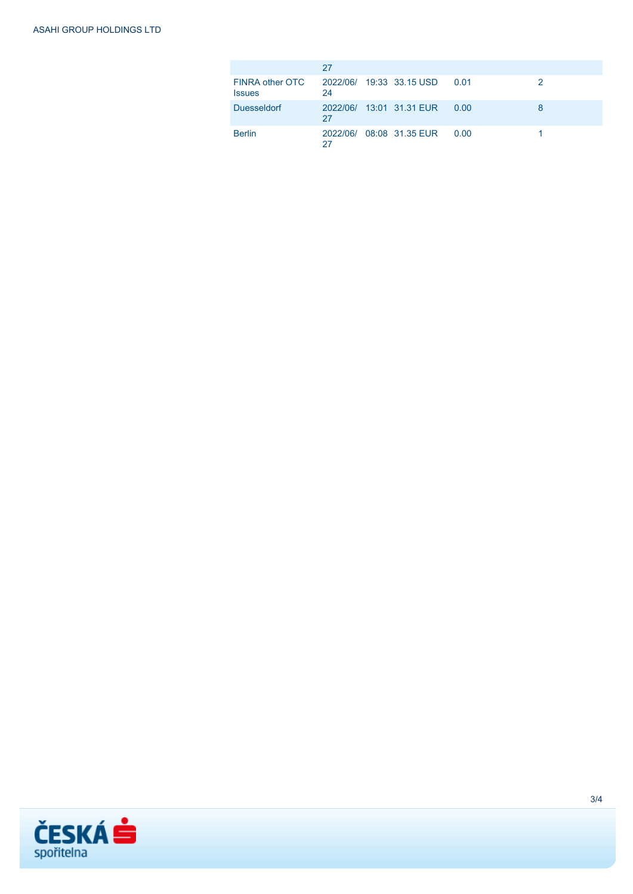|                                  | 27 |                          |      |  |
|----------------------------------|----|--------------------------|------|--|
| FINRA other OTC<br><b>Issues</b> | 24 | 2022/06/ 19:33 33.15 USD | 0.01 |  |
| <b>Duesseldorf</b>               | 27 | 2022/06/ 13:01 31.31 EUR | 0.00 |  |
| <b>Berlin</b>                    | 27 | 2022/06/ 08:08 31.35 EUR | 0.00 |  |